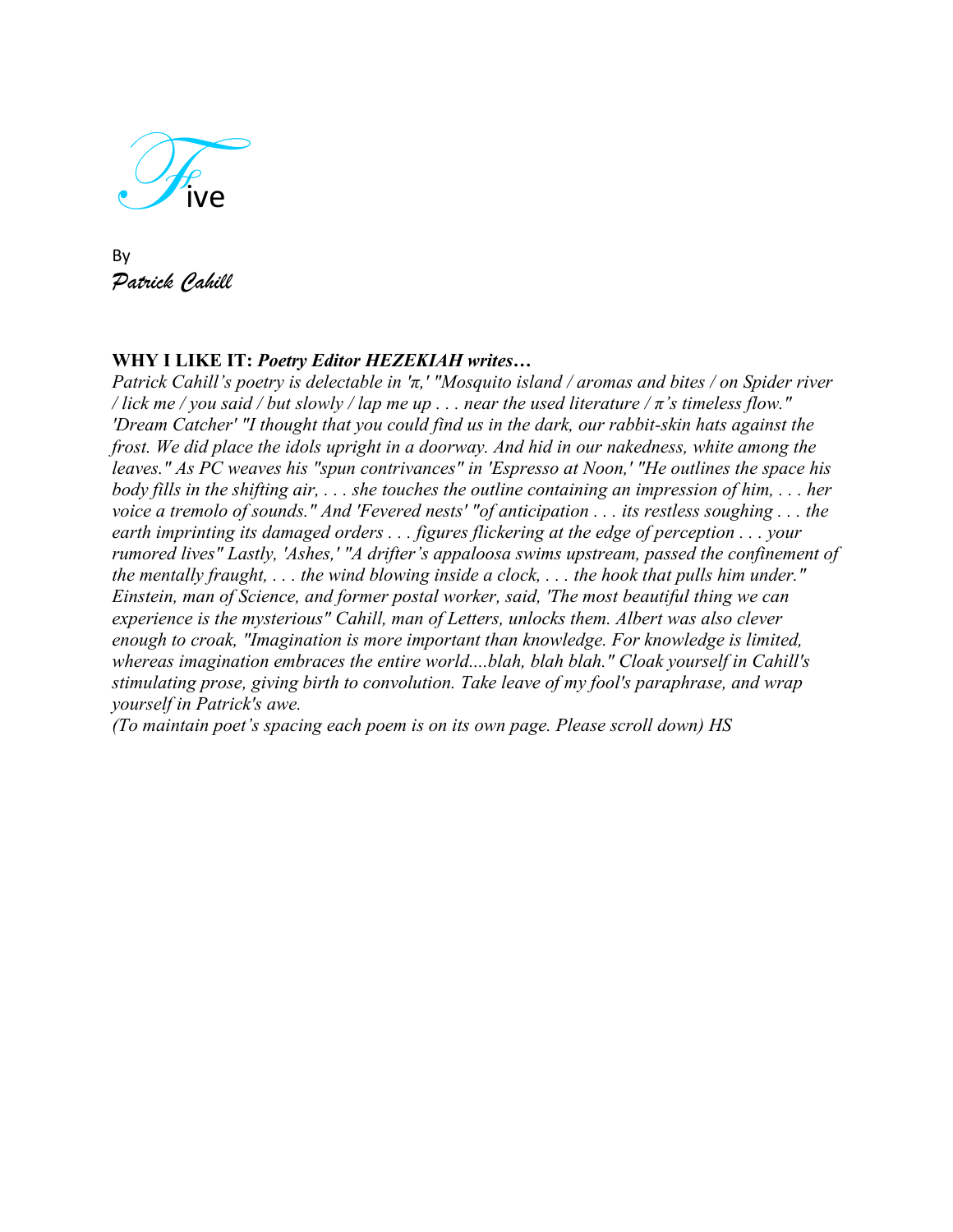

By *Patrick Cahill*

# **WHY I LIKE IT:** *Poetry Editor HEZEKIAH writes…*

*Patrick Cahill's poetry is delectable in 'π,' "Mosquito island / aromas and bites / on Spider river / lick me / you said / but slowly / lap me up . . . near the used literature /*  $\pi$ *'s timeless flow." 'Dream Catcher' "I thought that you could find us in the dark, our rabbit-skin hats against the frost. We did place the idols upright in a doorway. And hid in our nakedness, white among the leaves." As PC weaves his "spun contrivances" in 'Espresso at Noon,' "He outlines the space his body fills in the shifting air, . . . she touches the outline containing an impression of him, . . . her voice a tremolo of sounds." And 'Fevered nests' "of anticipation . . . its restless soughing . . . the earth imprinting its damaged orders . . . figures flickering at the edge of perception . . . your rumored lives" Lastly, 'Ashes,' "A drifter's appaloosa swims upstream, passed the confinement of the mentally fraught, . . . the wind blowing inside a clock, . . . the hook that pulls him under." Einstein, man of Science, and former postal worker, said, 'The most beautiful thing we can experience is the mysterious" Cahill, man of Letters, unlocks them. Albert was also clever enough to croak, "Imagination is more important than knowledge. For knowledge is limited, whereas imagination embraces the entire world....blah, blah blah." Cloak yourself in Cahill's stimulating prose, giving birth to convolution. Take leave of my fool's paraphrase, and wrap yourself in Patrick's awe.*

*(To maintain poet's spacing each poem is on its own page. Please scroll down) HS*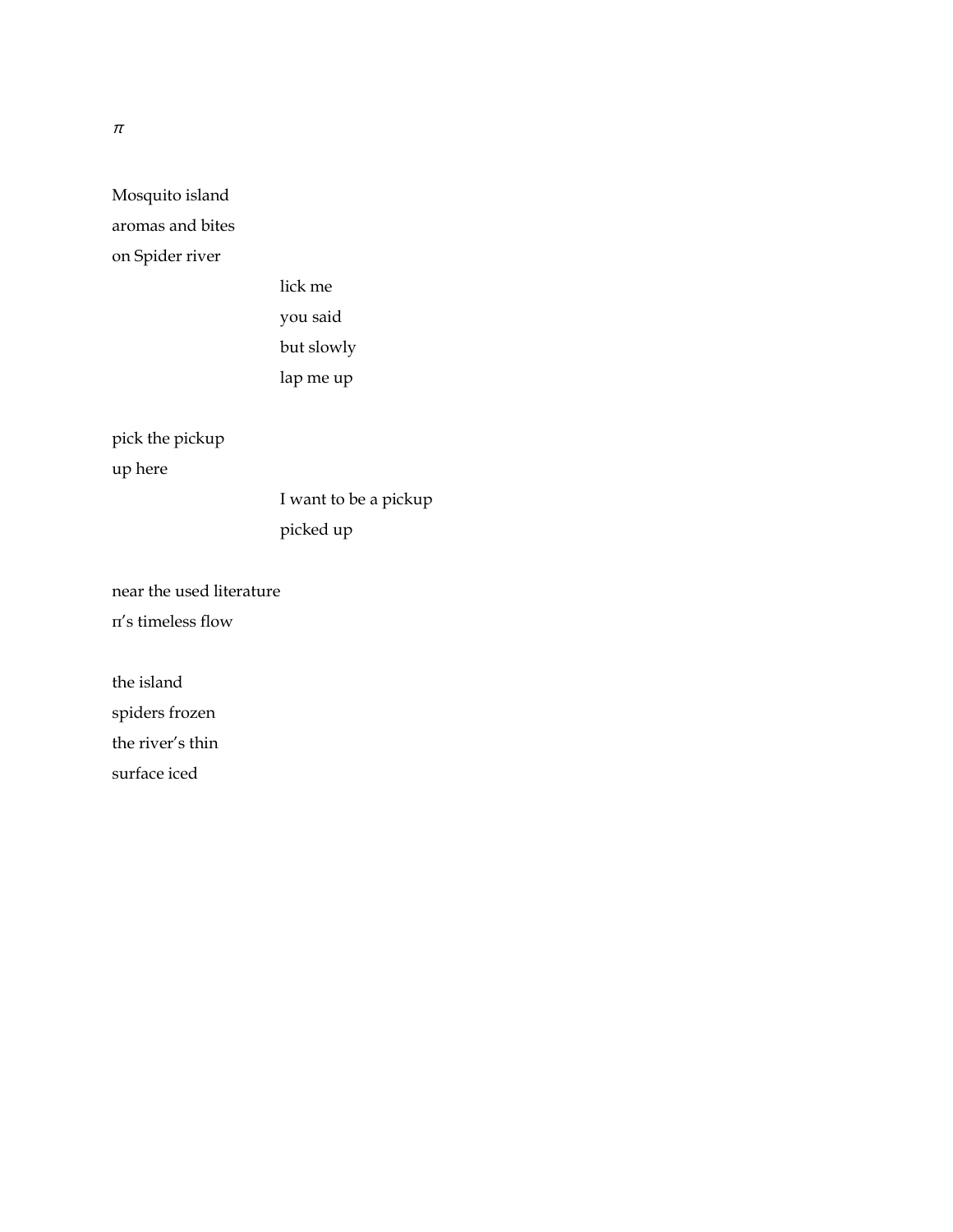Mosquito island aromas and bites on Spider river

> lick me you said but slowly lap me up

pick the pickup up here

> I want to be a pickup picked up

near the used literature π's timeless flow

the island spiders frozen the river's thin surface iced

 $\pi$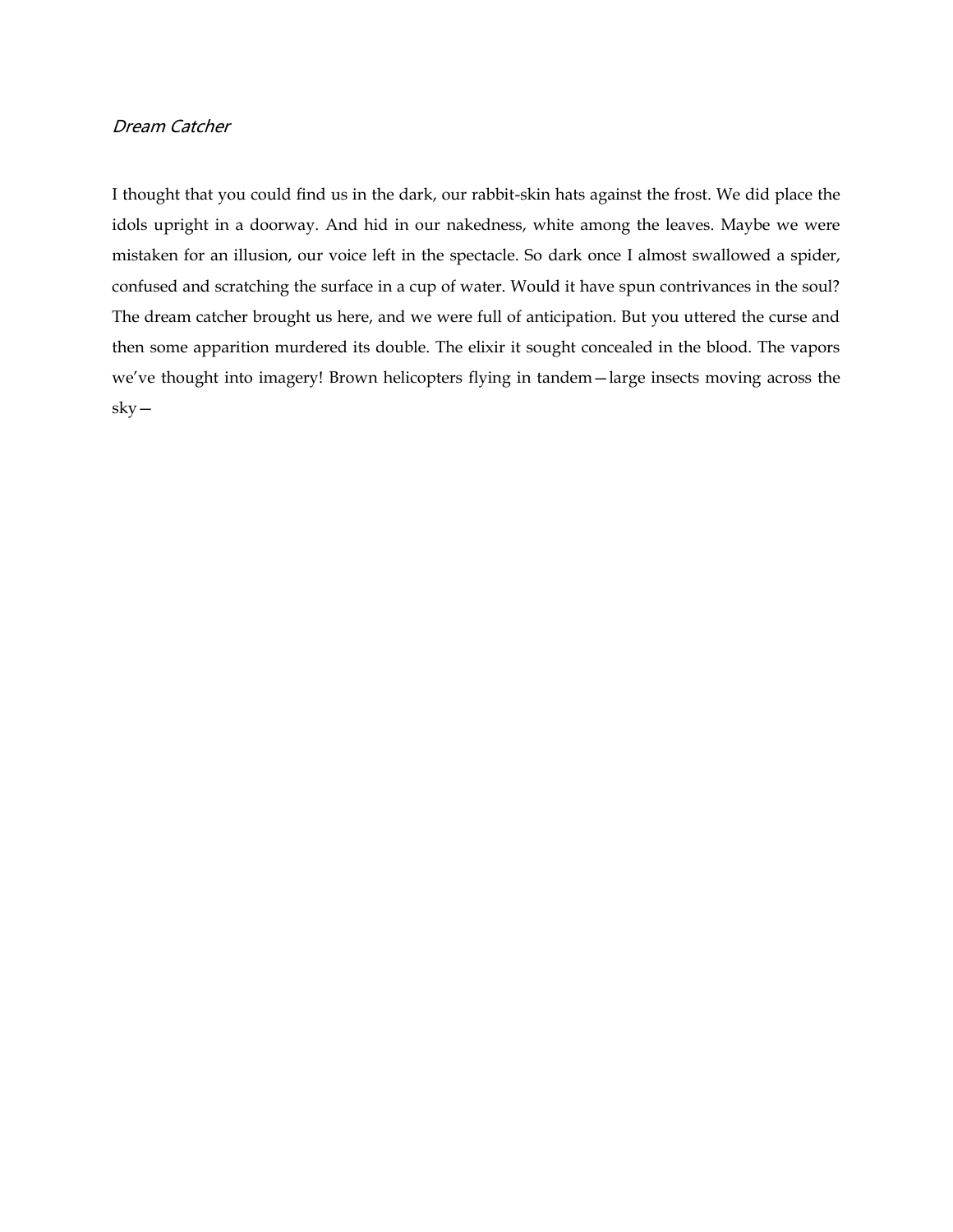### Dream Catcher

I thought that you could find us in the dark, our rabbit-skin hats against the frost. We did place the idols upright in a doorway. And hid in our nakedness, white among the leaves. Maybe we were mistaken for an illusion, our voice left in the spectacle. So dark once I almost swallowed a spider, confused and scratching the surface in a cup of water. Would it have spun contrivances in the soul? The dream catcher brought us here, and we were full of anticipation. But you uttered the curse and then some apparition murdered its double. The elixir it sought concealed in the blood. The vapors we've thought into imagery! Brown helicopters flying in tandem—large insects moving across the sky—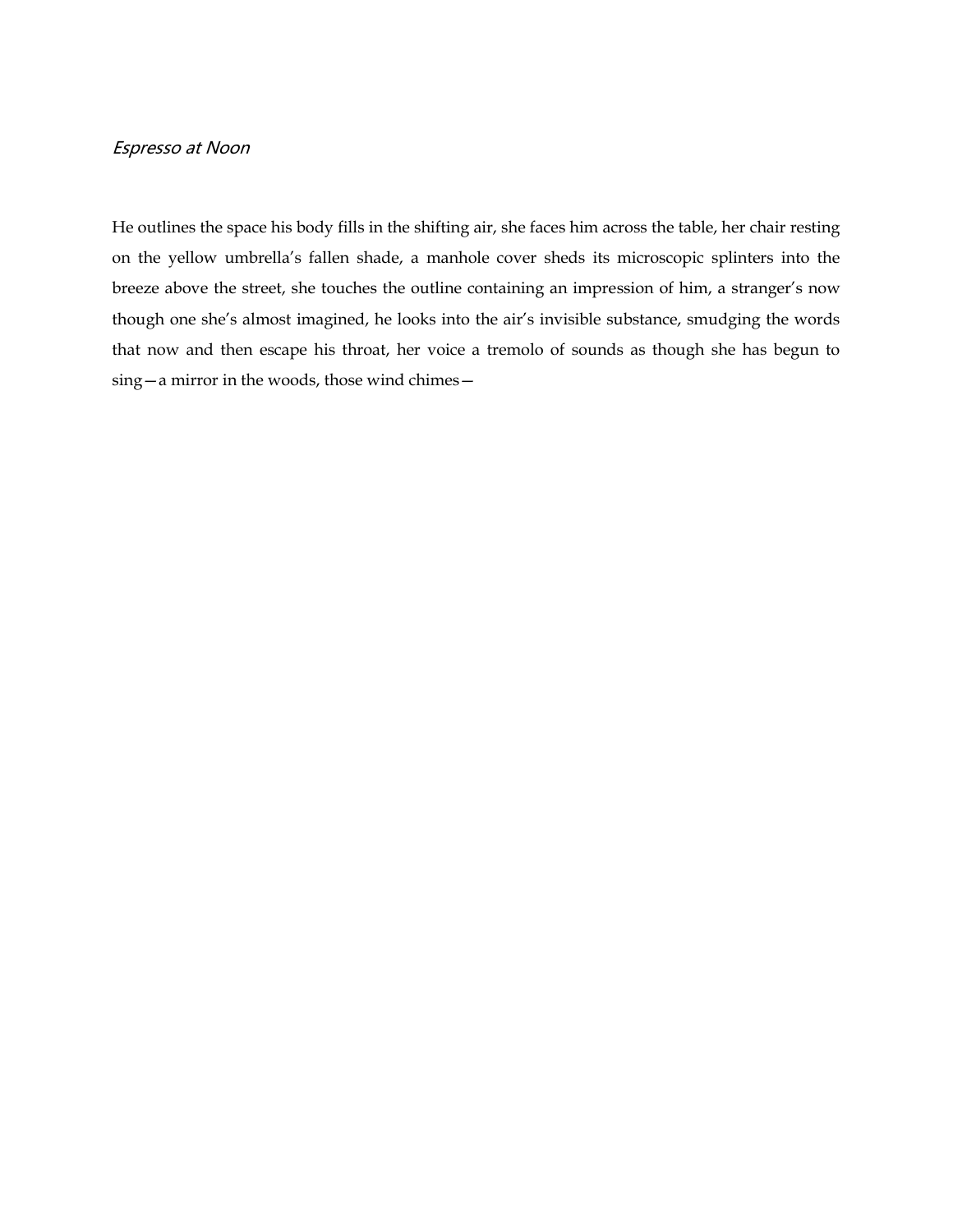## Espresso at Noon

He outlines the space his body fills in the shifting air, she faces him across the table, her chair resting on the yellow umbrella's fallen shade, a manhole cover sheds its microscopic splinters into the breeze above the street, she touches the outline containing an impression of him, a stranger's now though one she's almost imagined, he looks into the air's invisible substance, smudging the words that now and then escape his throat, her voice a tremolo of sounds as though she has begun to sing—a mirror in the woods, those wind chimes—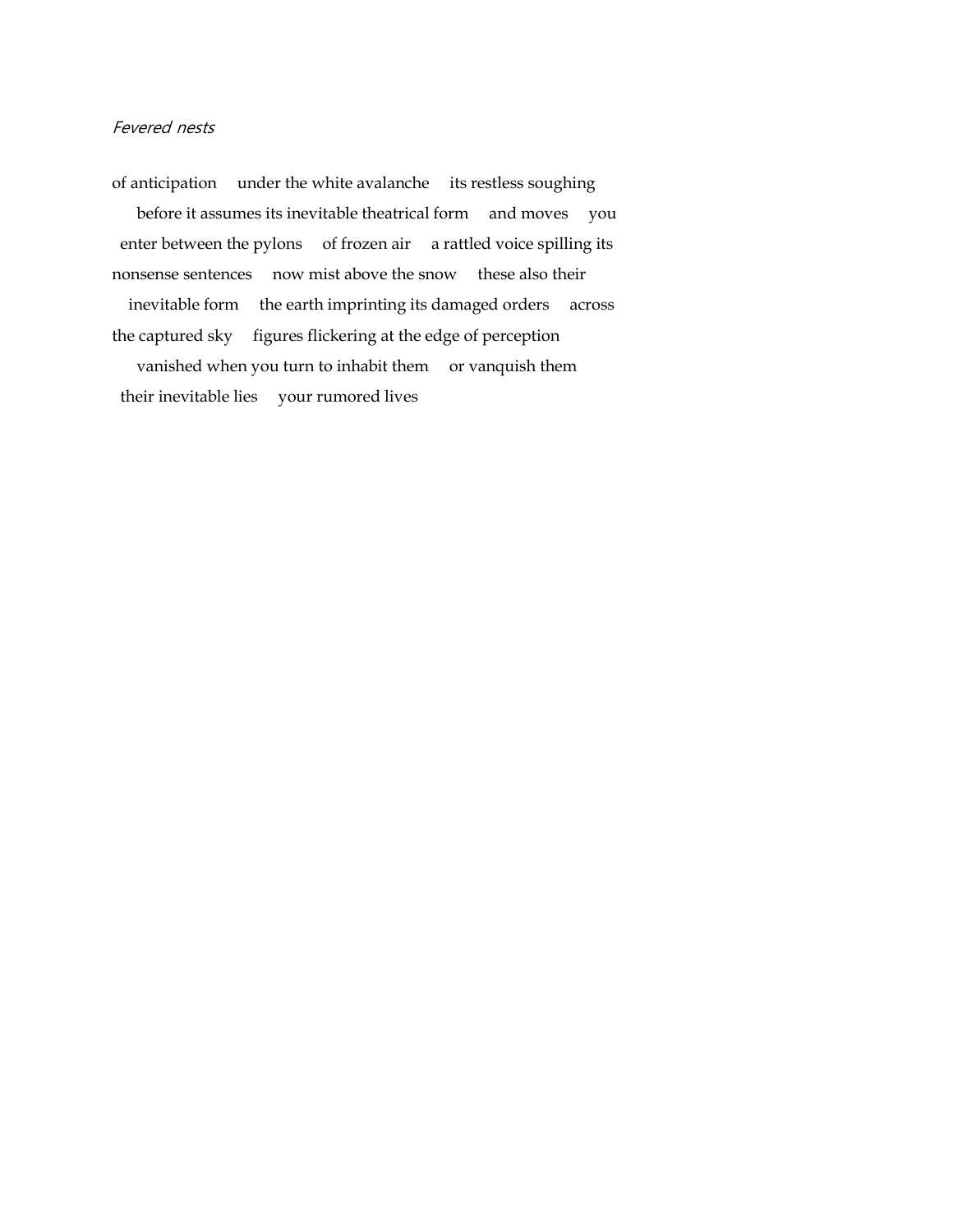### Fevered nests

of anticipation under the white avalanche its restless soughing before it assumes its inevitable theatrical form and moves you enter between the pylons of frozen air a rattled voice spilling its nonsense sentences now mist above the snow these also their inevitable form the earth imprinting its damaged orders across the captured sky figures flickering at the edge of perception vanished when you turn to inhabit them or vanquish them their inevitable lies your rumored lives